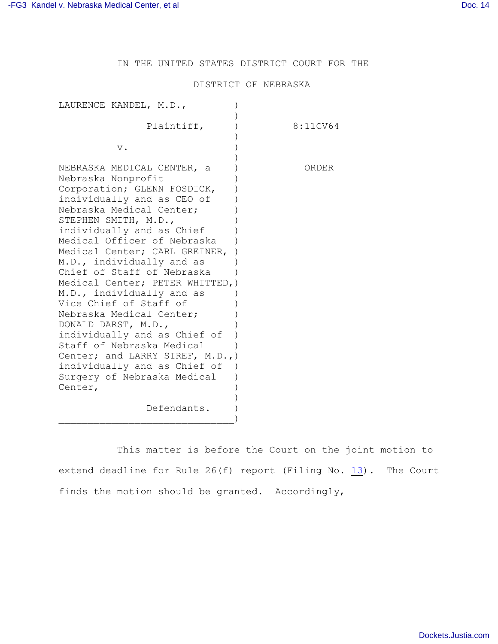IN THE UNITED STATES DISTRICT COURT FOR THE

## DISTRICT OF NEBRASKA

| LAURENCE KANDEL, M.D.,                                                                                                                                                                                                                                                                                                                                                                                                                                                                                                                                                                                                                            |          |
|---------------------------------------------------------------------------------------------------------------------------------------------------------------------------------------------------------------------------------------------------------------------------------------------------------------------------------------------------------------------------------------------------------------------------------------------------------------------------------------------------------------------------------------------------------------------------------------------------------------------------------------------------|----------|
| Plaintiff,                                                                                                                                                                                                                                                                                                                                                                                                                                                                                                                                                                                                                                        | 8:11CV64 |
| v.                                                                                                                                                                                                                                                                                                                                                                                                                                                                                                                                                                                                                                                |          |
| NEBRASKA MEDICAL CENTER, a<br>Nebraska Nonprofit<br>Corporation; GLENN FOSDICK,<br>individually and as CEO of<br>Nebraska Medical Center;<br>STEPHEN SMITH, M.D.,<br>individually and as Chief<br>Medical Officer of Nebraska<br>Medical Center; CARL GREINER,<br>M.D., individually and as<br>Chief of Staff of Nebraska<br>Medical Center; PETER WHITTED, )<br>M.D., individually and as<br>Vice Chief of Staff of<br>Nebraska Medical Center;<br>DONALD DARST, M.D.,<br>individually and as Chief of<br>Staff of Nebraska Medical<br>Center; and LARRY SIREF, M.D.,)<br>individually and as Chief of<br>Surgery of Nebraska Medical<br>Center, | ORDER    |
| Defendants.                                                                                                                                                                                                                                                                                                                                                                                                                                                                                                                                                                                                                                       |          |

This matter is before the Court on the joint motion to extend deadline for Rule  $26(f)$  report (Filing No.  $13$ ). The Court finds the motion should be granted. Accordingly,